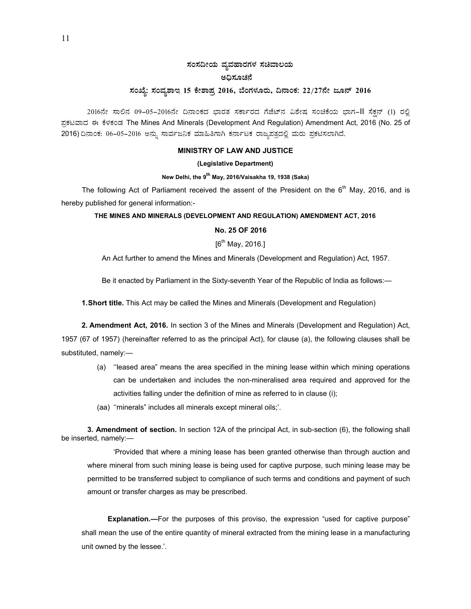# ಸಂಸದೀಯ ವ್ಯವಹಾರಗಳ ಸಚಿವಾಲಯ ಅಧಿಸೂಚನೆ

## ಸಂಖ್ಯೆ: ಸಂವ್ಯಶಾಇ 15 ಕೇಶಾಪ್ರ 2016, ಬೆಂಗಳೂರು, ದಿನಾಂಕ: 22/27ನೇ ಜೂನ್ 2016

2016ನೇ ಸಾಲಿನ 09-05-2016ನೇ ದಿನಾಂಕದ ಭಾರತ ಸರ್ಕಾರದ ಗೆಜೆಟ್ನ ವಿಶೇಷ ಸಂಚಿಕೆಯ ಭಾಗ-II ಸೆಕನ್ (1) ರಲ್ಲಿ ಪ್ರಕಟವಾದ ಈ ಕೆಳಕಂಡ The Mines And Minerals (Development And Regulation) Amendment Act, 2016 (No. 25 of 2016) ದಿನಾಂಕ: 06-05-2016 ಅನ್ನು ಸಾರ್ವಜನಿಕ ಮಾಹಿತಿಗಾಗಿ ಕರ್ನಾಟಕ ರಾಜ್ಯಪತ್ರದಲ್ಲಿ ಮರು ಪ್ರಕಟಿಸಲಾಗಿದೆ.

### **MINISTRY OF LAW AND JUSTICE**

#### (Legislative Department)

#### New Delhi, the 9<sup>th</sup> May, 2016/Vaisakha 19, 1938 (Saka)

The following Act of Parliament received the assent of the President on the  $6<sup>th</sup>$  May, 2016, and is hereby published for general information:-

## THE MINES AND MINERALS (DEVELOPMENT AND REGULATION) AMENDMENT ACT, 2016

## No. 25 OF 2016

 $[6^{th}$  May, 2016.]

An Act further to amend the Mines and Minerals (Development and Regulation) Act, 1957.

Be it enacted by Parliament in the Sixty-seventh Year of the Republic of India as follows:-

1. Short title. This Act may be called the Mines and Minerals (Development and Regulation)

2. Amendment Act, 2016. In section 3 of the Mines and Minerals (Development and Regulation) Act, 1957 (67 of 1957) (hereinafter referred to as the principal Act), for clause (a), the following clauses shall be substituted, namely:-

- (a) "leased area" means the area specified in the mining lease within which mining operations can be undertaken and includes the non-mineralised area required and approved for the activities falling under the definition of mine as referred to in clause (i);
- (aa) "minerals" includes all minerals except mineral oils;".

3. Amendment of section. In section 12A of the principal Act, in sub-section (6), the following shall be inserted, namely:-

'Provided that where a mining lease has been granted otherwise than through auction and where mineral from such mining lease is being used for captive purpose, such mining lease may be permitted to be transferred subject to compliance of such terms and conditions and payment of such amount or transfer charges as may be prescribed.

**Explanation.**—For the purposes of this proviso, the expression "used for captive purpose" shall mean the use of the entire quantity of mineral extracted from the mining lease in a manufacturing unit owned by the lessee.'.